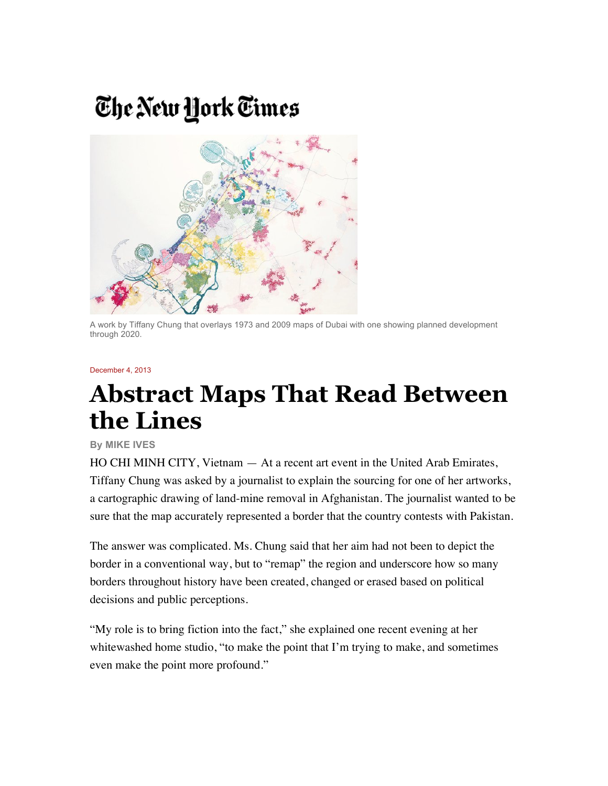## The New York Times



A work by Tiffany Chung that overlays 1973 and 2009 maps of Dubai with one showing planned development through 2020.

## December 4, 2013

## **Abstract Maps That Read Between the Lines**

## **By MIKE IVES**

HO CHI MINH CITY, Vietnam — At a recent art event in the United Arab Emirates, Tiffany Chung was asked by a journalist to explain the sourcing for one of her artworks, a cartographic drawing of land-mine removal in Afghanistan. The journalist wanted to be sure that the map accurately represented a border that the country contests with Pakistan.

The answer was complicated. Ms. Chung said that her aim had not been to depict the border in a conventional way, but to "remap" the region and underscore how so many borders throughout history have been created, changed or erased based on political decisions and public perceptions.

"My role is to bring fiction into the fact," she explained one recent evening at her whitewashed home studio, "to make the point that I'm trying to make, and sometimes even make the point more profound."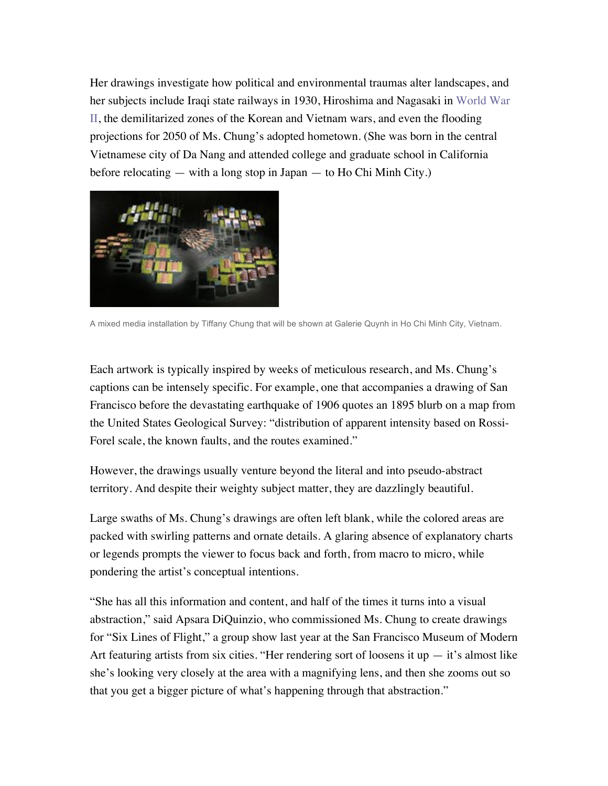Her drawings investigate how political and environmental traumas alter landscapes, and her subjects include Iraqi state railways in 1930, Hiroshima and Nagasaki in World War II, the demilitarized zones of the Korean and Vietnam wars, and even the flooding projections for 2050 of Ms. Chung's adopted hometown. (She was born in the central Vietnamese city of Da Nang and attended college and graduate school in California before relocating — with a long stop in Japan — to Ho Chi Minh City.)



A mixed media installation by Tiffany Chung that will be shown at Galerie Quynh in Ho Chi Minh City, Vietnam.

Each artwork is typically inspired by weeks of meticulous research, and Ms. Chung's captions can be intensely specific. For example, one that accompanies a drawing of San Francisco before the devastating earthquake of 1906 quotes an 1895 blurb on a map from the United States Geological Survey: "distribution of apparent intensity based on Rossi-Forel scale, the known faults, and the routes examined."

However, the drawings usually venture beyond the literal and into pseudo-abstract territory. And despite their weighty subject matter, they are dazzlingly beautiful.

Large swaths of Ms. Chung's drawings are often left blank, while the colored areas are packed with swirling patterns and ornate details. A glaring absence of explanatory charts or legends prompts the viewer to focus back and forth, from macro to micro, while pondering the artist's conceptual intentions.

"She has all this information and content, and half of the times it turns into a visual abstraction," said Apsara DiQuinzio, who commissioned Ms. Chung to create drawings for "Six Lines of Flight," a group show last year at the San Francisco Museum of Modern Art featuring artists from six cities. "Her rendering sort of loosens it up  $-$  it's almost like she's looking very closely at the area with a magnifying lens, and then she zooms out so that you get a bigger picture of what's happening through that abstraction."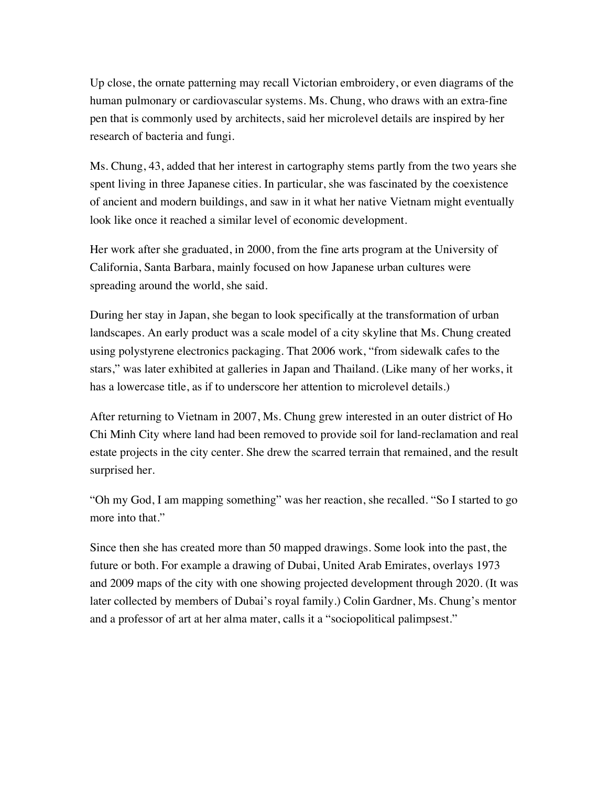Up close, the ornate patterning may recall Victorian embroidery, or even diagrams of the human pulmonary or cardiovascular systems. Ms. Chung, who draws with an extra-fine pen that is commonly used by architects, said her microlevel details are inspired by her research of bacteria and fungi.

Ms. Chung, 43, added that her interest in cartography stems partly from the two years she spent living in three Japanese cities. In particular, she was fascinated by the coexistence of ancient and modern buildings, and saw in it what her native Vietnam might eventually look like once it reached a similar level of economic development.

Her work after she graduated, in 2000, from the fine arts program at the University of California, Santa Barbara, mainly focused on how Japanese urban cultures were spreading around the world, she said.

During her stay in Japan, she began to look specifically at the transformation of urban landscapes. An early product was a scale model of a city skyline that Ms. Chung created using polystyrene electronics packaging. That 2006 work, "from sidewalk cafes to the stars," was later exhibited at galleries in Japan and Thailand. (Like many of her works, it has a lowercase title, as if to underscore her attention to microlevel details.)

After returning to Vietnam in 2007, Ms. Chung grew interested in an outer district of Ho Chi Minh City where land had been removed to provide soil for land-reclamation and real estate projects in the city center. She drew the scarred terrain that remained, and the result surprised her.

"Oh my God, I am mapping something" was her reaction, she recalled. "So I started to go more into that."

Since then she has created more than 50 mapped drawings. Some look into the past, the future or both. For example a drawing of Dubai, United Arab Emirates, overlays 1973 and 2009 maps of the city with one showing projected development through 2020. (It was later collected by members of Dubai's royal family.) Colin Gardner, Ms. Chung's mentor and a professor of art at her alma mater, calls it a "sociopolitical palimpsest."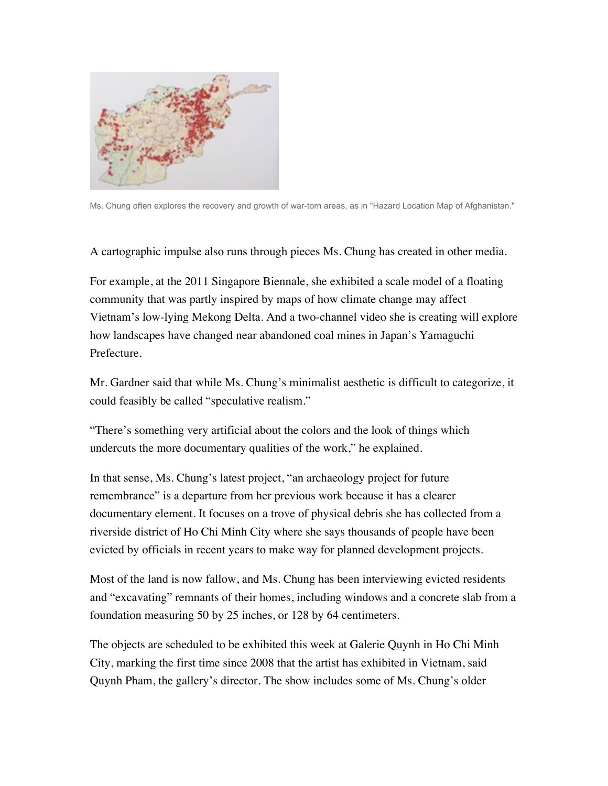

Ms. Chung often explores the recovery and growth of war-torn areas, as in "Hazard Location Map of Afghanistan."

A cartographic impulse also runs through pieces Ms. Chung has created in other media.

For example, at the 2011 Singapore Biennale, she exhibited a scale model of a floating community that was partly inspired by maps of how climate change may affect Vietnam's low-lying Mekong Delta. And a two-channel video she is creating will explore how landscapes have changed near abandoned coal mines in Japan's Yamaguchi Prefecture.

Mr. Gardner said that while Ms. Chung's minimalist aesthetic is difficult to categorize, it could feasibly be called "speculative realism."

"There's something very artificial about the colors and the look of things which undercuts the more documentary qualities of the work," he explained.

In that sense, Ms. Chung's latest project, "an archaeology project for future remembrance" is a departure from her previous work because it has a clearer documentary element. It focuses on a trove of physical debris she has collected from a riverside district of Ho Chi Minh City where she says thousands of people have been evicted by officials in recent years to make way for planned development projects.

Most of the land is now fallow, and Ms. Chung has been interviewing evicted residents and "excavating" remnants of their homes, including windows and a concrete slab from a foundation measuring 50 by 25 inches, or 128 by 64 centimeters.

The objects are scheduled to be exhibited this week at Galerie Quynh in Ho Chi Minh City, marking the first time since 2008 that the artist has exhibited in Vietnam, said Quynh Pham, the gallery's director. The show includes some of Ms. Chung's older